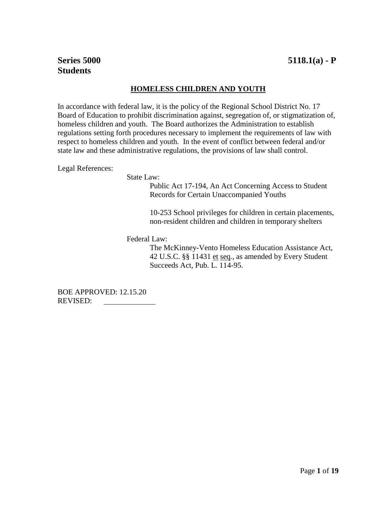# **HOMELESS CHILDREN AND YOUTH**

In accordance with federal law, it is the policy of the Regional School District No. 17 Board of Education to prohibit discrimination against, segregation of, or stigmatization of, homeless children and youth. The Board authorizes the Administration to establish regulations setting forth procedures necessary to implement the requirements of law with respect to homeless children and youth. In the event of conflict between federal and/or state law and these administrative regulations, the provisions of law shall control.

Legal References:

State Law:

Public Act 17-194, An Act Concerning Access to Student Records for Certain Unaccompanied Youths

10-253 School privileges for children in certain placements, non-resident children and children in temporary shelters

Federal Law:

The McKinney-Vento Homeless Education Assistance Act, 42 U.S.C. §§ 11431 et seq., as amended by Every Student Succeeds Act, Pub. L. 114-95.

BOE APPROVED: 12.15.20 REVISED: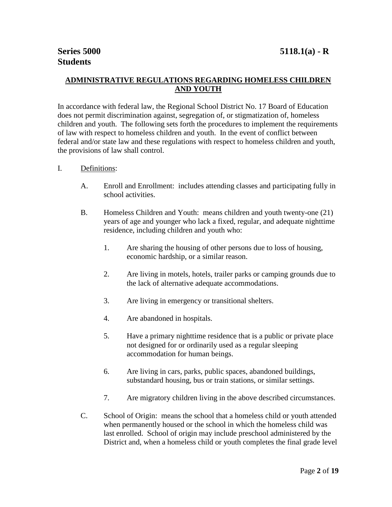# **ADMINISTRATIVE REGULATIONS REGARDING HOMELESS CHILDREN AND YOUTH**

In accordance with federal law, the Regional School District No. 17 Board of Education does not permit discrimination against, segregation of, or stigmatization of, homeless children and youth. The following sets forth the procedures to implement the requirements of law with respect to homeless children and youth. In the event of conflict between federal and/or state law and these regulations with respect to homeless children and youth, the provisions of law shall control.

# I. Definitions:

- A. Enroll and Enrollment: includes attending classes and participating fully in school activities.
- B. Homeless Children and Youth: means children and youth twenty-one (21) years of age and younger who lack a fixed, regular, and adequate nighttime residence, including children and youth who:
	- 1. Are sharing the housing of other persons due to loss of housing, economic hardship, or a similar reason.
	- 2. Are living in motels, hotels, trailer parks or camping grounds due to the lack of alternative adequate accommodations.
	- 3. Are living in emergency or transitional shelters.
	- 4. Are abandoned in hospitals.
	- 5. Have a primary nighttime residence that is a public or private place not designed for or ordinarily used as a regular sleeping accommodation for human beings.
	- 6. Are living in cars, parks, public spaces, abandoned buildings, substandard housing, bus or train stations, or similar settings.
	- 7. Are migratory children living in the above described circumstances.
- C. School of Origin:means the school that a homeless child or youth attended when permanently housed or the school in which the homeless child was last enrolled. School of origin may include preschool administered by the District and, when a homeless child or youth completes the final grade level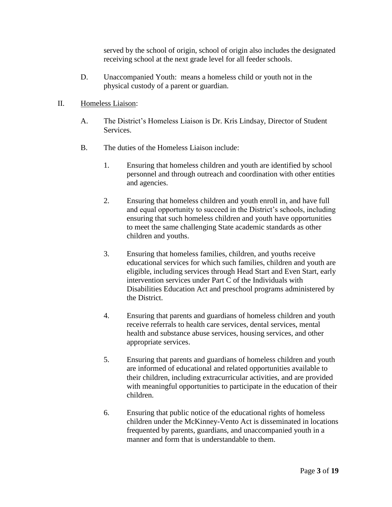served by the school of origin, school of origin also includes the designated receiving school at the next grade level for all feeder schools.

D. Unaccompanied Youth: means a homeless child or youth not in the physical custody of a parent or guardian.

# II. Homeless Liaison:

- A. The District's Homeless Liaison is Dr. Kris Lindsay, Director of Student Services.
- B. The duties of the Homeless Liaison include:
	- 1. Ensuring that homeless children and youth are identified by school personnel and through outreach and coordination with other entities and agencies.
	- 2. Ensuring that homeless children and youth enroll in, and have full and equal opportunity to succeed in the District's schools, including ensuring that such homeless children and youth have opportunities to meet the same challenging State academic standards as other children and youths.
	- 3. Ensuring that homeless families, children, and youths receive educational services for which such families, children and youth are eligible, including services through Head Start and Even Start, early intervention services under Part C of the Individuals with Disabilities Education Act and preschool programs administered by the District.
	- 4. Ensuring that parents and guardians of homeless children and youth receive referrals to health care services, dental services, mental health and substance abuse services, housing services, and other appropriate services.
	- 5. Ensuring that parents and guardians of homeless children and youth are informed of educational and related opportunities available to their children, including extracurricular activities, and are provided with meaningful opportunities to participate in the education of their children.
	- 6. Ensuring that public notice of the educational rights of homeless children under the McKinney-Vento Act is disseminated in locations frequented by parents, guardians, and unaccompanied youth in a manner and form that is understandable to them.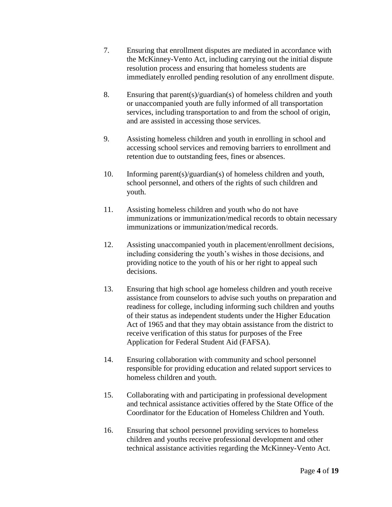- 7. Ensuring that enrollment disputes are mediated in accordance with the McKinney-Vento Act, including carrying out the initial dispute resolution process and ensuring that homeless students are immediately enrolled pending resolution of any enrollment dispute.
- 8. Ensuring that parent(s)/guardian(s) of homeless children and youth or unaccompanied youth are fully informed of all transportation services, including transportation to and from the school of origin, and are assisted in accessing those services.
- 9. Assisting homeless children and youth in enrolling in school and accessing school services and removing barriers to enrollment and retention due to outstanding fees, fines or absences.
- 10. Informing parent(s)/guardian(s) of homeless children and youth, school personnel, and others of the rights of such children and youth.
- 11. Assisting homeless children and youth who do not have immunizations or immunization/medical records to obtain necessary immunizations or immunization/medical records.
- 12. Assisting unaccompanied youth in placement/enrollment decisions, including considering the youth's wishes in those decisions, and providing notice to the youth of his or her right to appeal such decisions.
- 13. Ensuring that high school age homeless children and youth receive assistance from counselors to advise such youths on preparation and readiness for college, including informing such children and youths of their status as independent students under the Higher Education Act of 1965 and that they may obtain assistance from the district to receive verification of this status for purposes of the Free Application for Federal Student Aid (FAFSA).
- 14. Ensuring collaboration with community and school personnel responsible for providing education and related support services to homeless children and youth.
- 15. Collaborating with and participating in professional development and technical assistance activities offered by the State Office of the Coordinator for the Education of Homeless Children and Youth.
- 16. Ensuring that school personnel providing services to homeless children and youths receive professional development and other technical assistance activities regarding the McKinney-Vento Act.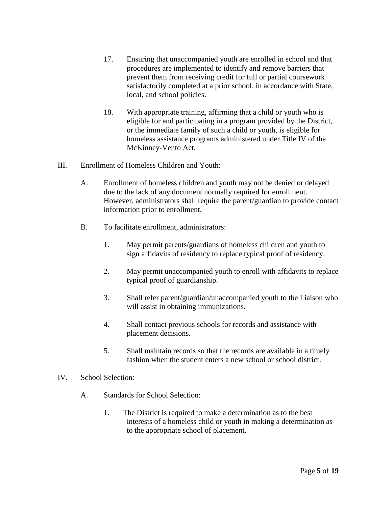- 17. Ensuring that unaccompanied youth are enrolled in school and that procedures are implemented to identify and remove barriers that prevent them from receiving credit for full or partial coursework satisfactorily completed at a prior school, in accordance with State, local, and school policies.
- 18. With appropriate training, affirming that a child or youth who is eligible for and participating in a program provided by the District, or the immediate family of such a child or youth, is eligible for homeless assistance programs administered under Title IV of the McKinney-Vento Act.
- III. Enrollment of Homeless Children and Youth:
	- A. Enrollment of homeless children and youth may not be denied or delayed due to the lack of any document normally required for enrollment. However, administrators shall require the parent/guardian to provide contact information prior to enrollment.
	- B. To facilitate enrollment, administrators:
		- 1. May permit parents/guardians of homeless children and youth to sign affidavits of residency to replace typical proof of residency.
		- 2. May permit unaccompanied youth to enroll with affidavits to replace typical proof of guardianship.
		- 3. Shall refer parent/guardian/unaccompanied youth to the Liaison who will assist in obtaining immunizations.
		- 4. Shall contact previous schools for records and assistance with placement decisions.
		- 5. Shall maintain records so that the records are available in a timely fashion when the student enters a new school or school district.
- IV. School Selection:
	- A. Standards for School Selection:
		- 1. The District is required to make a determination as to the best interests of a homeless child or youth in making a determination as to the appropriate school of placement.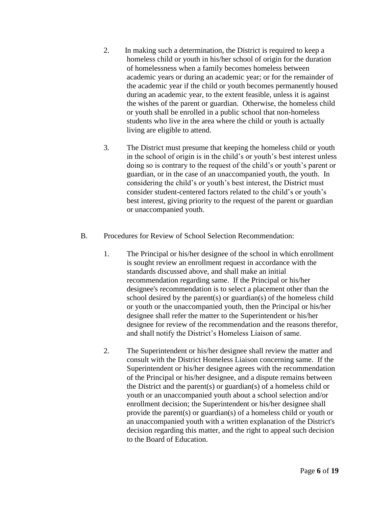- 2. In making such a determination, the District is required to keep a homeless child or youth in his/her school of origin for the duration of homelessness when a family becomes homeless between academic years or during an academic year; or for the remainder of the academic year if the child or youth becomes permanently housed during an academic year, to the extent feasible, unless it is against the wishes of the parent or guardian. Otherwise, the homeless child or youth shall be enrolled in a public school that non-homeless students who live in the area where the child or youth is actually living are eligible to attend.
- 3. The District must presume that keeping the homeless child or youth in the school of origin is in the child's or youth's best interest unless doing so is contrary to the request of the child's or youth's parent or guardian, or in the case of an unaccompanied youth, the youth. In considering the child's or youth's best interest, the District must consider student-centered factors related to the child's or youth's best interest, giving priority to the request of the parent or guardian or unaccompanied youth.
- B. Procedures for Review of School Selection Recommendation:
	- 1. The Principal or his/her designee of the school in which enrollment is sought review an enrollment request in accordance with the standards discussed above, and shall make an initial recommendation regarding same. If the Principal or his/her designee's recommendation is to select a placement other than the school desired by the parent(s) or guardian(s) of the homeless child or youth or the unaccompanied youth, then the Principal or his/her designee shall refer the matter to the Superintendent or his/her designee for review of the recommendation and the reasons therefor, and shall notify the District's Homeless Liaison of same.
	- 2. The Superintendent or his/her designee shall review the matter and consult with the District Homeless Liaison concerning same. If the Superintendent or his/her designee agrees with the recommendation of the Principal or his/her designee, and a dispute remains between the District and the parent(s) or guardian(s) of a homeless child or youth or an unaccompanied youth about a school selection and/or enrollment decision; the Superintendent or his/her designee shall provide the parent(s) or guardian(s) of a homeless child or youth or an unaccompanied youth with a written explanation of the District's decision regarding this matter, and the right to appeal such decision to the Board of Education.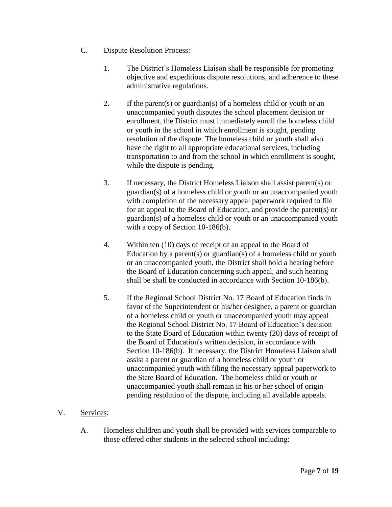- C. Dispute Resolution Process:
	- 1. The District's Homeless Liaison shall be responsible for promoting objective and expeditious dispute resolutions, and adherence to these administrative regulations.
	- 2. If the parent(s) or guardian(s) of a homeless child or youth or an unaccompanied youth disputes the school placement decision or enrollment, the District must immediately enroll the homeless child or youth in the school in which enrollment is sought, pending resolution of the dispute. The homeless child or youth shall also have the right to all appropriate educational services, including transportation to and from the school in which enrollment is sought, while the dispute is pending.
	- 3. If necessary, the District Homeless Liaison shall assist parent(s) or guardian(s) of a homeless child or youth or an unaccompanied youth with completion of the necessary appeal paperwork required to file for an appeal to the Board of Education, and provide the parent(s) or guardian(s) of a homeless child or youth or an unaccompanied youth with a copy of Section 10-186(b).
	- 4. Within ten (10) days of receipt of an appeal to the Board of Education by a parent(s) or guardian(s) of a homeless child or youth or an unaccompanied youth, the District shall hold a hearing before the Board of Education concerning such appeal, and such hearing shall be shall be conducted in accordance with Section 10-186(b).
	- 5. If the Regional School District No. 17 Board of Education finds in favor of the Superintendent or his/her designee, a parent or guardian of a homeless child or youth or unaccompanied youth may appeal the Regional School District No. 17 Board of Education's decision to the State Board of Education within twenty (20) days of receipt of the Board of Education's written decision, in accordance with Section 10-186(b). If necessary, the District Homeless Liaison shall assist a parent or guardian of a homeless child or youth or unaccompanied youth with filing the necessary appeal paperwork to the State Board of Education. The homeless child or youth or unaccompanied youth shall remain in his or her school of origin pending resolution of the dispute, including all available appeals.

# V. Services:

A. Homeless children and youth shall be provided with services comparable to those offered other students in the selected school including: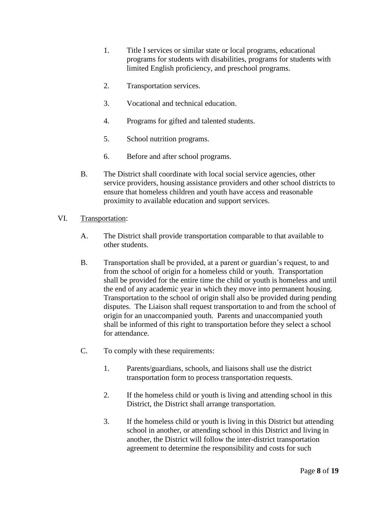- 1. Title I services or similar state or local programs, educational programs for students with disabilities, programs for students with limited English proficiency, and preschool programs.
- 2. Transportation services.
- 3. Vocational and technical education.
- 4. Programs for gifted and talented students.
- 5. School nutrition programs.
- 6. Before and after school programs.
- B. The District shall coordinate with local social service agencies, other service providers, housing assistance providers and other school districts to ensure that homeless children and youth have access and reasonable proximity to available education and support services.
- VI. Transportation:
	- A. The District shall provide transportation comparable to that available to other students.
	- B. Transportation shall be provided, at a parent or guardian's request, to and from the school of origin for a homeless child or youth. Transportation shall be provided for the entire time the child or youth is homeless and until the end of any academic year in which they move into permanent housing. Transportation to the school of origin shall also be provided during pending disputes. The Liaison shall request transportation to and from the school of origin for an unaccompanied youth. Parents and unaccompanied youth shall be informed of this right to transportation before they select a school for attendance.
	- C. To comply with these requirements:
		- 1. Parents/guardians, schools, and liaisons shall use the district transportation form to process transportation requests.
		- 2. If the homeless child or youth is living and attending school in this District, the District shall arrange transportation.
		- 3. If the homeless child or youth is living in this District but attending school in another, or attending school in this District and living in another, the District will follow the inter-district transportation agreement to determine the responsibility and costs for such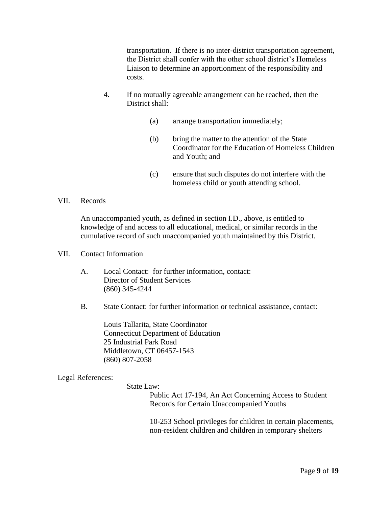transportation. If there is no inter-district transportation agreement, the District shall confer with the other school district's Homeless Liaison to determine an apportionment of the responsibility and costs.

- 4. If no mutually agreeable arrangement can be reached, then the District shall:
	- (a) arrange transportation immediately;
	- (b) bring the matter to the attention of the State Coordinator for the Education of Homeless Children and Youth; and
	- (c) ensure that such disputes do not interfere with the homeless child or youth attending school.

## VII. Records

An unaccompanied youth, as defined in section I.D., above, is entitled to knowledge of and access to all educational, medical, or similar records in the cumulative record of such unaccompanied youth maintained by this District.

#### VII. Contact Information

- A. Local Contact: for further information, contact: Director of Student Services (860) 345-4244
- B. State Contact: for further information or technical assistance, contact:

Louis Tallarita, State Coordinator Connecticut Department of Education 25 Industrial Park Road Middletown, CT 06457-1543 (860) 807-2058

## Legal References:

## State Law:

Public Act 17-194, An Act Concerning Access to Student Records for Certain Unaccompanied Youths

10-253 School privileges for children in certain placements, non-resident children and children in temporary shelters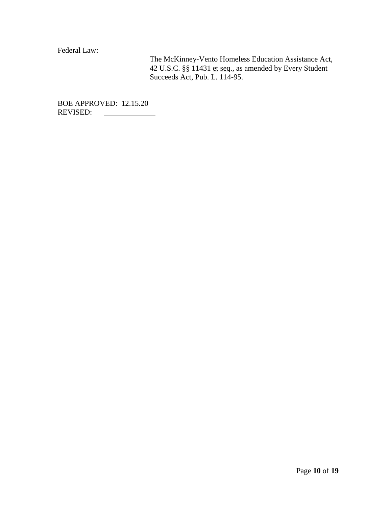Federal Law:

The McKinney-Vento Homeless Education Assistance Act, 42 U.S.C. §§ 11431 et seq., as amended by Every Student Succeeds Act, Pub. L. 114-95.

BOE APPROVED: 12.15.20 REVISED: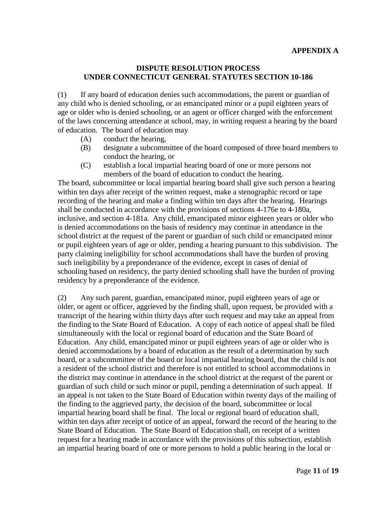## **DISPUTE RESOLUTION PROCESS UNDER CONNECTICUT GENERAL STATUTES SECTION 10-186**

(1) If any board of education denies such accommodations, the parent or guardian of any child who is denied schooling, or an emancipated minor or a pupil eighteen years of age or older who is denied schooling, or an agent or officer charged with the enforcement of the laws concerning attendance at school, may, in writing request a hearing by the board of education. The board of education may

- (A) conduct the hearing,
- (B) designate a subcommittee of the board composed of three board members to conduct the hearing, or
- (C) establish a local impartial hearing board of one or more persons not members of the board of education to conduct the hearing.

The board, subcommittee or local impartial hearing board shall give such person a hearing within ten days after receipt of the written request, make a stenographic record or tape recording of the hearing and make a finding within ten days after the hearing. Hearings shall be conducted in accordance with the provisions of sections 4-176e to 4-180a, inclusive, and section 4-181a. Any child, emancipated minor eighteen years or older who is denied accommodations on the basis of residency may continue in attendance in the school district at the request of the parent or guardian of such child or emancipated minor or pupil eighteen years of age or older, pending a hearing pursuant to this subdivision. The party claiming ineligibility for school accommodations shall have the burden of proving such ineligibility by a preponderance of the evidence, except in cases of denial of schooling based on residency, the party denied schooling shall have the burden of proving residency by a preponderance of the evidence.

(2) Any such parent, guardian, emancipated minor, pupil eighteen years of age or older, or agent or officer, aggrieved by the finding shall, upon request, be provided with a transcript of the hearing within thirty days after such request and may take an appeal from the finding to the State Board of Education. A copy of each notice of appeal shall be filed simultaneously with the local or regional board of education and the State Board of Education. Any child, emancipated minor or pupil eighteen years of age or older who is denied accommodations by a board of education as the result of a determination by such board, or a subcommittee of the board or local impartial hearing board, that the child is not a resident of the school district and therefore is not entitled to school accommodations in the district may continue in attendance in the school district at the request of the parent or guardian of such child or such minor or pupil, pending a determination of such appeal. If an appeal is not taken to the State Board of Education within twenty days of the mailing of the finding to the aggrieved party, the decision of the board, subcommittee or local impartial hearing board shall be final. The local or regional board of education shall, within ten days after receipt of notice of an appeal, forward the record of the hearing to the State Board of Education. The State Board of Education shall, on receipt of a written request for a hearing made in accordance with the provisions of this subsection, establish an impartial hearing board of one or more persons to hold a public hearing in the local or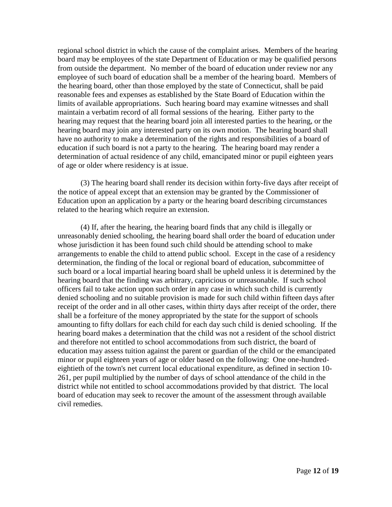regional school district in which the cause of the complaint arises. Members of the hearing board may be employees of the state Department of Education or may be qualified persons from outside the department. No member of the board of education under review nor any employee of such board of education shall be a member of the hearing board. Members of the hearing board, other than those employed by the state of Connecticut, shall be paid reasonable fees and expenses as established by the State Board of Education within the limits of available appropriations. Such hearing board may examine witnesses and shall maintain a verbatim record of all formal sessions of the hearing. Either party to the hearing may request that the hearing board join all interested parties to the hearing, or the hearing board may join any interested party on its own motion. The hearing board shall have no authority to make a determination of the rights and responsibilities of a board of education if such board is not a party to the hearing. The hearing board may render a determination of actual residence of any child, emancipated minor or pupil eighteen years of age or older where residency is at issue.

(3) The hearing board shall render its decision within forty-five days after receipt of the notice of appeal except that an extension may be granted by the Commissioner of Education upon an application by a party or the hearing board describing circumstances related to the hearing which require an extension.

(4) If, after the hearing, the hearing board finds that any child is illegally or unreasonably denied schooling, the hearing board shall order the board of education under whose jurisdiction it has been found such child should be attending school to make arrangements to enable the child to attend public school. Except in the case of a residency determination, the finding of the local or regional board of education, subcommittee of such board or a local impartial hearing board shall be upheld unless it is determined by the hearing board that the finding was arbitrary, capricious or unreasonable. If such school officers fail to take action upon such order in any case in which such child is currently denied schooling and no suitable provision is made for such child within fifteen days after receipt of the order and in all other cases, within thirty days after receipt of the order, there shall be a forfeiture of the money appropriated by the state for the support of schools amounting to fifty dollars for each child for each day such child is denied schooling. If the hearing board makes a determination that the child was not a resident of the school district and therefore not entitled to school accommodations from such district, the board of education may assess tuition against the parent or guardian of the child or the emancipated minor or pupil eighteen years of age or older based on the following: One one-hundredeightieth of the town's net current local educational expenditure, as defined in section 10- 261, per pupil multiplied by the number of days of school attendance of the child in the district while not entitled to school accommodations provided by that district. The local board of education may seek to recover the amount of the assessment through available civil remedies.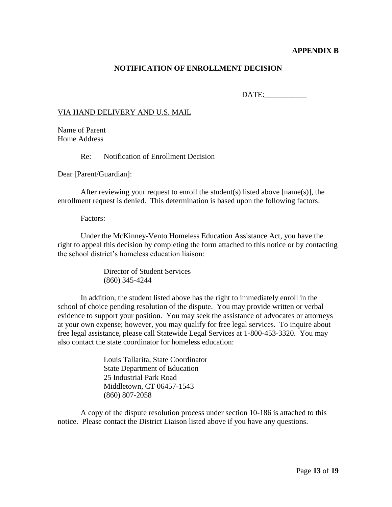## **APPENDIX B**

## **NOTIFICATION OF ENROLLMENT DECISION**

DATE:

## VIA HAND DELIVERY AND U.S. MAIL

Name of Parent Home Address

Re: Notification of Enrollment Decision

Dear [Parent/Guardian]:

After reviewing your request to enroll the student(s) listed above  $[name(s)]$ , the enrollment request is denied. This determination is based upon the following factors:

Factors:

Under the McKinney-Vento Homeless Education Assistance Act, you have the right to appeal this decision by completing the form attached to this notice or by contacting the school district's homeless education liaison:

> Director of Student Services (860) 345-4244

In addition, the student listed above has the right to immediately enroll in the school of choice pending resolution of the dispute. You may provide written or verbal evidence to support your position. You may seek the assistance of advocates or attorneys at your own expense; however, you may qualify for free legal services. To inquire about free legal assistance, please call Statewide Legal Services at 1-800-453-3320. You may also contact the state coordinator for homeless education:

> Louis Tallarita, State Coordinator State Department of Education 25 Industrial Park Road Middletown, CT 06457-1543 (860) 807-2058

A copy of the dispute resolution process under section 10-186 is attached to this notice. Please contact the District Liaison listed above if you have any questions.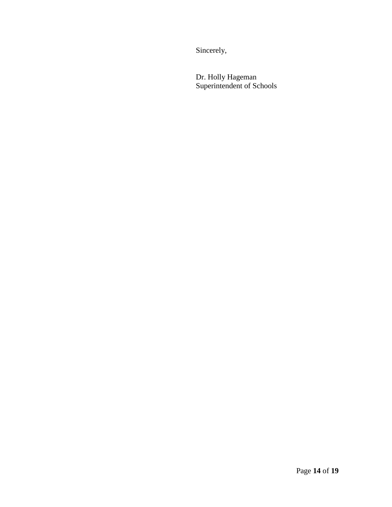Sincerely,

Dr. Holly Hageman Superintendent of Schools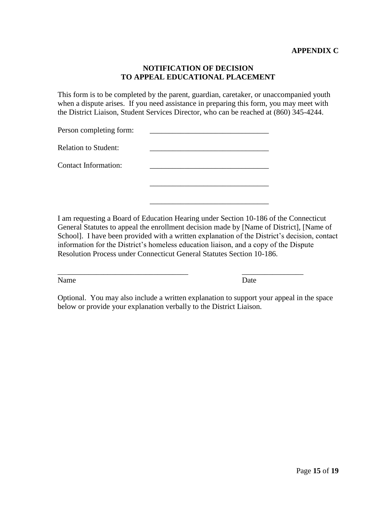## **NOTIFICATION OF DECISION TO APPEAL EDUCATIONAL PLACEMENT**

This form is to be completed by the parent, guardian, caretaker, or unaccompanied youth when a dispute arises. If you need assistance in preparing this form, you may meet with the District Liaison, Student Services Director, who can be reached at (860) 345-4244.

| Person completing form:     |  |
|-----------------------------|--|
| <b>Relation to Student:</b> |  |
| <b>Contact Information:</b> |  |
|                             |  |
|                             |  |

I am requesting a Board of Education Hearing under Section 10-186 of the Connecticut General Statutes to appeal the enrollment decision made by [Name of District], [Name of School]. I have been provided with a written explanation of the District's decision, contact information for the District's homeless education liaison, and a copy of the Dispute Resolution Process under Connecticut General Statutes Section 10-186.

Name Date

Optional. You may also include a written explanation to support your appeal in the space below or provide your explanation verbally to the District Liaison.

\_\_\_\_\_\_\_\_\_\_\_\_\_\_\_\_\_\_\_\_\_\_\_\_\_\_\_\_\_\_\_\_\_\_ \_\_\_\_\_\_\_\_\_\_\_\_\_\_\_\_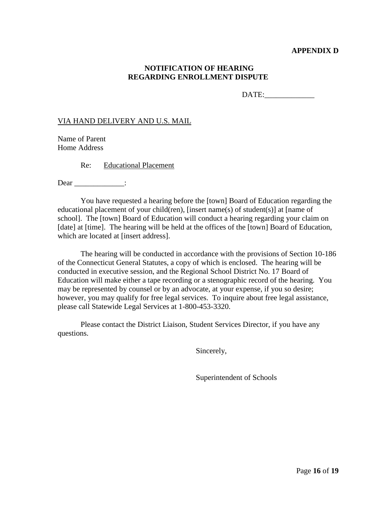## **APPENDIX D**

## **NOTIFICATION OF HEARING REGARDING ENROLLMENT DISPUTE**

DATE:

#### VIA HAND DELIVERY AND U.S. MAIL

Name of Parent Home Address

Re: Educational Placement

Dear \_\_\_\_\_\_\_\_\_\_\_\_\_\_\_\_:

You have requested a hearing before the [town] Board of Education regarding the educational placement of your child(ren), [insert name(s) of student(s)] at [name of school]. The [town] Board of Education will conduct a hearing regarding your claim on [date] at [time]. The hearing will be held at the offices of the [town] Board of Education, which are located at [insert address].

The hearing will be conducted in accordance with the provisions of Section 10-186 of the Connecticut General Statutes, a copy of which is enclosed. The hearing will be conducted in executive session, and the Regional School District No. 17 Board of Education will make either a tape recording or a stenographic record of the hearing. You may be represented by counsel or by an advocate, at your expense, if you so desire; however, you may qualify for free legal services. To inquire about free legal assistance, please call Statewide Legal Services at 1-800-453-3320.

Please contact the District Liaison, Student Services Director, if you have any questions.

Sincerely,

Superintendent of Schools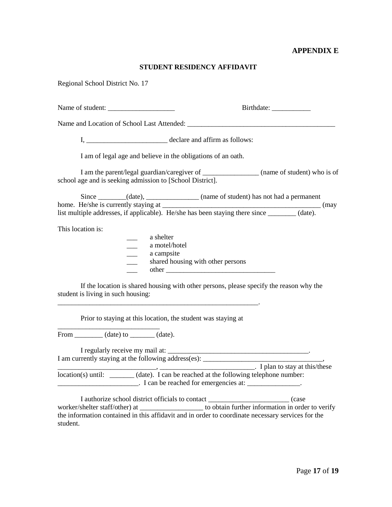#### **APPENDIX E**

#### **STUDENT RESIDENCY AFFIDAVIT**

Regional School District No. 17

Name of student: \_\_\_\_\_\_\_\_\_\_\_\_\_\_\_\_\_\_\_ Birthdate: \_\_\_\_\_\_\_\_\_\_\_

Name and Location of School Last Attended: \_\_\_\_\_\_\_\_\_\_\_\_\_\_\_\_\_\_\_\_\_\_\_\_\_\_\_\_\_\_\_\_\_\_\_\_\_\_\_\_\_\_

I, declare and affirm as follows:

I am of legal age and believe in the obligations of an oath.

I am the parent/legal guardian/caregiver of \_\_\_\_\_\_\_\_\_\_\_\_\_\_\_\_ (name of student) who is of school age and is seeking admission to [School District].

Since \_\_\_\_\_\_\_(date), \_\_\_\_\_\_\_\_\_\_\_\_\_(name of student) has not had a permanent home. He/she is currently staying at \_\_\_\_\_\_\_\_\_\_\_\_\_\_\_\_\_\_\_\_\_\_\_\_\_\_\_\_\_\_\_\_\_\_\_\_\_\_\_\_\_\_\_\_\_ (may list multiple addresses, if applicable). He/she has been staying there since \_\_\_\_\_\_\_\_ (date).

This location is:

| a shelter                         |  |
|-----------------------------------|--|
| a motel/hotel                     |  |
| a campsite                        |  |
| shared housing with other persons |  |
| other                             |  |

If the location is shared housing with other persons, please specify the reason why the student is living in such housing:

Prior to staying at this location, the student was staying at

\_\_\_\_\_\_\_\_\_\_\_\_\_\_\_\_\_\_\_\_\_\_\_\_\_\_\_\_\_\_\_\_\_\_\_\_\_\_\_\_\_\_\_\_\_\_\_\_\_\_\_\_\_\_\_\_\_.

From  $(date)$  to  $(date)$ .

\_\_\_\_\_\_\_\_\_\_\_\_\_\_\_\_\_\_\_\_\_\_\_\_\_\_\_\_\_

I regularly receive my mail at: \_\_\_\_\_\_\_\_\_\_\_\_\_\_\_\_\_\_\_\_\_\_\_\_\_\_\_\_\_\_\_\_\_\_\_\_\_\_\_\_. I am currently staying at the following address(es): \_\_\_\_\_\_\_\_\_\_\_\_\_\_\_\_\_\_\_\_\_\_\_\_\_\_\_\_\_,

 $\rightarrow$   $\rightarrow$ location(s) until: \_\_\_\_\_\_\_ (date). I can be reached at the following telephone number:  $\frac{1}{2}$  and  $\frac{1}{2}$  and  $\frac{1}{2}$  can be reached for emergencies at:  $\frac{1}{2}$ 

I authorize school district officials to contact \_\_\_\_\_\_\_\_\_\_\_\_\_\_\_\_\_\_\_\_\_\_\_ (case worker/shelter staff/other) at \_\_\_\_\_\_\_\_\_\_\_\_\_\_\_\_\_\_ to obtain further information in order to verify the information contained in this affidavit and in order to coordinate necessary services for the student.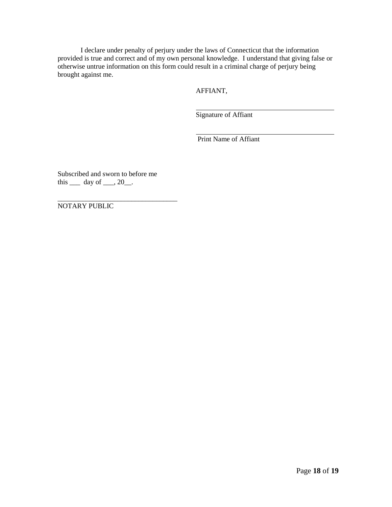I declare under penalty of perjury under the laws of Connecticut that the information provided is true and correct and of my own personal knowledge. I understand that giving false or otherwise untrue information on this form could result in a criminal charge of perjury being brought against me.

AFFIANT,

Signature of Affiant

Print Name of Affiant

Subscribed and sworn to before me this  $\rule{1em}{0.15mm}$  day of  $\rule{1em}{0.15mm}$ .

\_\_\_\_\_\_\_\_\_\_\_\_\_\_\_\_\_\_\_\_\_\_\_\_\_\_\_\_\_\_\_\_\_\_

NOTARY PUBLIC